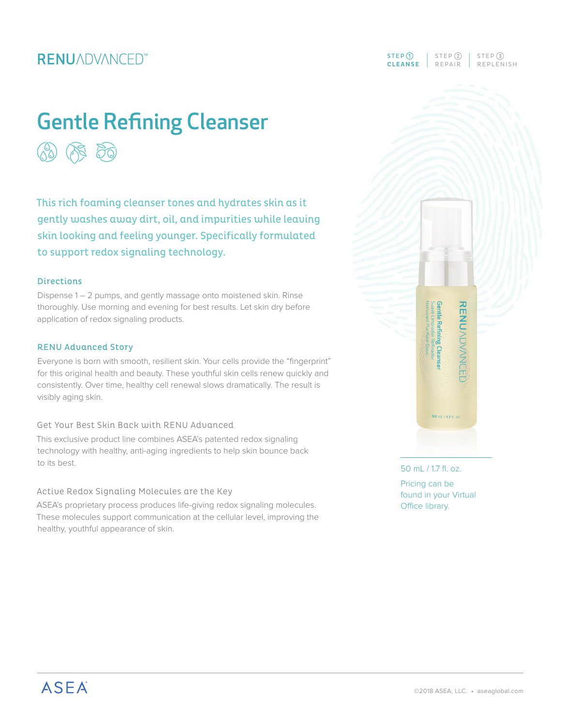## **RENUADVANCED**<sup>\*\*</sup>

# Gentle Refining Cleanser  $(\mathbb{A})$

This rich foaming cleanser tones and hydrates skin as it gently washes away dirt, oil, and impurities while leaving skin looking and feeling younger. Specifically formulated to support redox signaling technology.

#### **Directions**

Dispense 1 – 2 pumps, and gently massage onto moistened skin. Rinse thoroughly. Use morning and evening for best results. Let skin dry before application of redox signaling products.

#### RENU Advanced Story

Everyone is born with smooth, resilient skin. Your cells provide the "fingerprint" for this original health and beauty. These youthful skin cells renew quickly and consistently. Over time, healthy cell renewal slows dramatically. The result is visibly aging skin.

#### Get Your Best Skin Back with RENU Advanced

This exclusive product line combines ASEA's patented redox signaling technology with healthy, anti-aging ingredients to help skin bounce back to its best.

#### Active Redox Signaling Molecules are the Key

ASEA's proprietary process produces life-giving redox signaling molecules. These molecules support communication at the cellular level, improving the healthy, youthful appearance of skin.

### CLEANSE REPAIR REPLENISH  $STEP$  (1)  $STEP$  (2)  $STEP$  (3)



#### 50 mL / 1.7 fl. oz. Pricing can be found in your Virtual Office library.